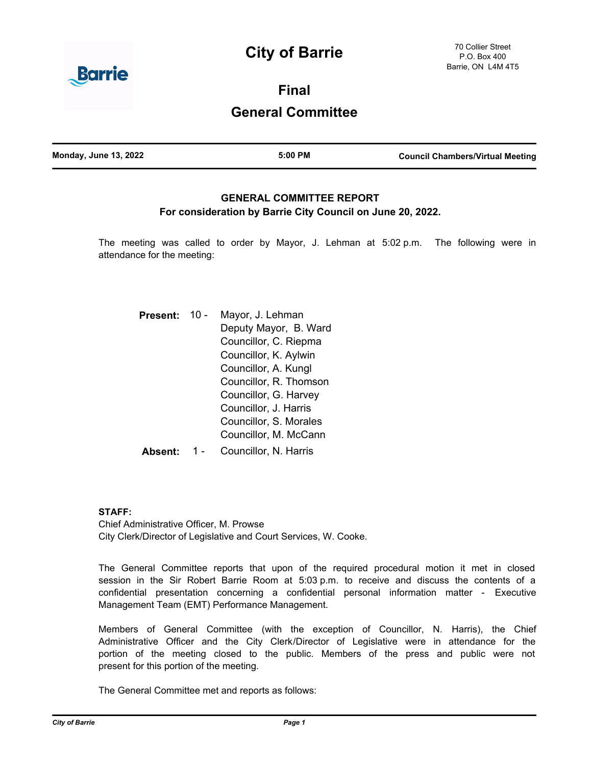# **City of Barrie**



**Final**

## **General Committee**

### **GENERAL COMMITTEE REPORT For consideration by Barrie City Council on June 20, 2022.**

The meeting was called to order by Mayor, J. Lehman at 5:02 p.m. The following were in attendance for the meeting:

| <b>Present:</b> | 10 - | Mayor, J. Lehman       |
|-----------------|------|------------------------|
|                 |      | Deputy Mayor, B. Ward  |
|                 |      | Councillor, C. Riepma  |
|                 |      | Councillor, K. Aylwin  |
|                 |      | Councillor, A. Kungl   |
|                 |      | Councillor, R. Thomson |
|                 |      | Councillor, G. Harvey  |
|                 |      | Councillor, J. Harris  |
|                 |      | Councillor, S. Morales |
|                 |      | Councillor, M. McCann  |
|                 |      | Councillor, N. Harris  |

#### **STAFF:**

Chief Administrative Officer, M. Prowse City Clerk/Director of Legislative and Court Services, W. Cooke.

The General Committee reports that upon of the required procedural motion it met in closed session in the Sir Robert Barrie Room at 5:03 p.m. to receive and discuss the contents of a confidential presentation concerning a confidential personal information matter - Executive Management Team (EMT) Performance Management.

Members of General Committee (with the exception of Councillor, N. Harris), the Chief Administrative Officer and the City Clerk/Director of Legislative were in attendance for the portion of the meeting closed to the public. Members of the press and public were not present for this portion of the meeting.

The General Committee met and reports as follows: